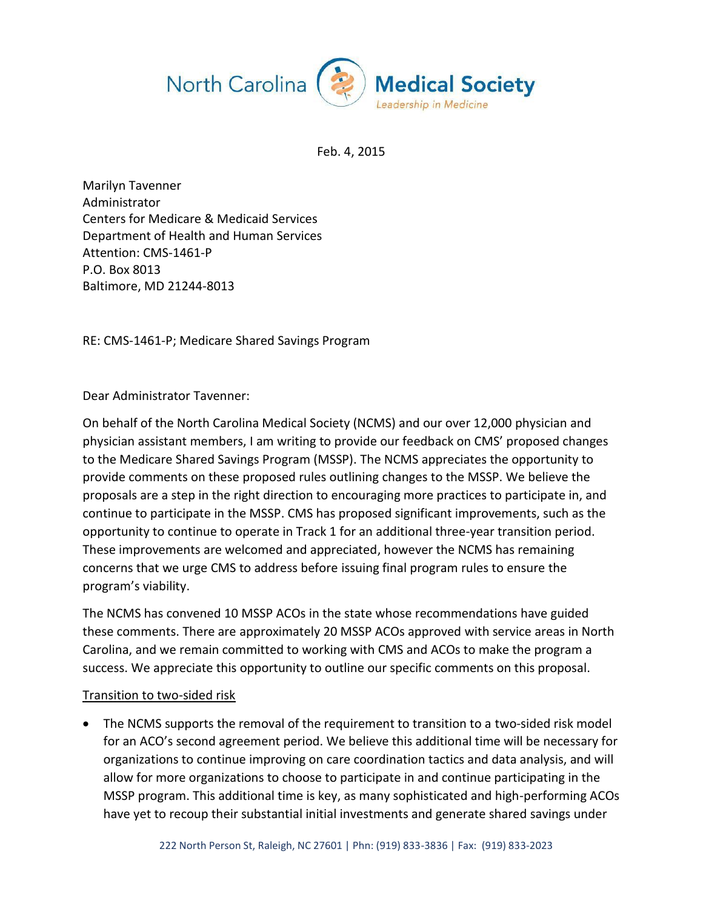

Feb. 4, 2015

Marilyn Tavenner Administrator Centers for Medicare & Medicaid Services Department of Health and Human Services Attention: CMS-1461-P P.O. Box 8013 Baltimore, MD 21244-8013

RE: CMS-1461-P; Medicare Shared Savings Program

Dear Administrator Tavenner:

On behalf of the North Carolina Medical Society (NCMS) and our over 12,000 physician and physician assistant members, I am writing to provide our feedback on CMS' proposed changes to the Medicare Shared Savings Program (MSSP). The NCMS appreciates the opportunity to provide comments on these proposed rules outlining changes to the MSSP. We believe the proposals are a step in the right direction to encouraging more practices to participate in, and continue to participate in the MSSP. CMS has proposed significant improvements, such as the opportunity to continue to operate in Track 1 for an additional three-year transition period. These improvements are welcomed and appreciated, however the NCMS has remaining concerns that we urge CMS to address before issuing final program rules to ensure the program's viability.

The NCMS has convened 10 MSSP ACOs in the state whose recommendations have guided these comments. There are approximately 20 MSSP ACOs approved with service areas in North Carolina, and we remain committed to working with CMS and ACOs to make the program a success. We appreciate this opportunity to outline our specific comments on this proposal.

### Transition to two-sided risk

• The NCMS supports the removal of the requirement to transition to a two-sided risk model for an ACO's second agreement period. We believe this additional time will be necessary for organizations to continue improving on care coordination tactics and data analysis, and will allow for more organizations to choose to participate in and continue participating in the MSSP program. This additional time is key, as many sophisticated and high-performing ACOs have yet to recoup their substantial initial investments and generate shared savings under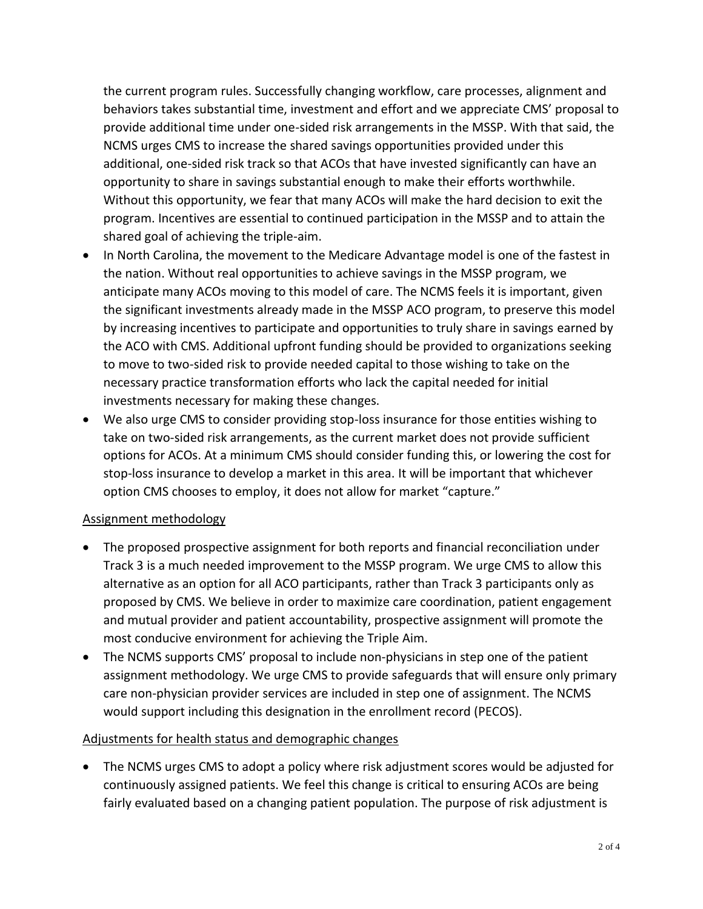the current program rules. Successfully changing workflow, care processes, alignment and behaviors takes substantial time, investment and effort and we appreciate CMS' proposal to provide additional time under one-sided risk arrangements in the MSSP. With that said, the NCMS urges CMS to increase the shared savings opportunities provided under this additional, one-sided risk track so that ACOs that have invested significantly can have an opportunity to share in savings substantial enough to make their efforts worthwhile. Without this opportunity, we fear that many ACOs will make the hard decision to exit the program. Incentives are essential to continued participation in the MSSP and to attain the shared goal of achieving the triple-aim.

- In North Carolina, the movement to the Medicare Advantage model is one of the fastest in the nation. Without real opportunities to achieve savings in the MSSP program, we anticipate many ACOs moving to this model of care. The NCMS feels it is important, given the significant investments already made in the MSSP ACO program, to preserve this model by increasing incentives to participate and opportunities to truly share in savings earned by the ACO with CMS. Additional upfront funding should be provided to organizations seeking to move to two-sided risk to provide needed capital to those wishing to take on the necessary practice transformation efforts who lack the capital needed for initial investments necessary for making these changes.
- We also urge CMS to consider providing stop-loss insurance for those entities wishing to take on two-sided risk arrangements, as the current market does not provide sufficient options for ACOs. At a minimum CMS should consider funding this, or lowering the cost for stop-loss insurance to develop a market in this area. It will be important that whichever option CMS chooses to employ, it does not allow for market "capture."

# Assignment methodology

- The proposed prospective assignment for both reports and financial reconciliation under Track 3 is a much needed improvement to the MSSP program. We urge CMS to allow this alternative as an option for all ACO participants, rather than Track 3 participants only as proposed by CMS. We believe in order to maximize care coordination, patient engagement and mutual provider and patient accountability, prospective assignment will promote the most conducive environment for achieving the Triple Aim.
- The NCMS supports CMS' proposal to include non-physicians in step one of the patient assignment methodology. We urge CMS to provide safeguards that will ensure only primary care non-physician provider services are included in step one of assignment. The NCMS would support including this designation in the enrollment record (PECOS).

# Adjustments for health status and demographic changes

 The NCMS urges CMS to adopt a policy where risk adjustment scores would be adjusted for continuously assigned patients. We feel this change is critical to ensuring ACOs are being fairly evaluated based on a changing patient population. The purpose of risk adjustment is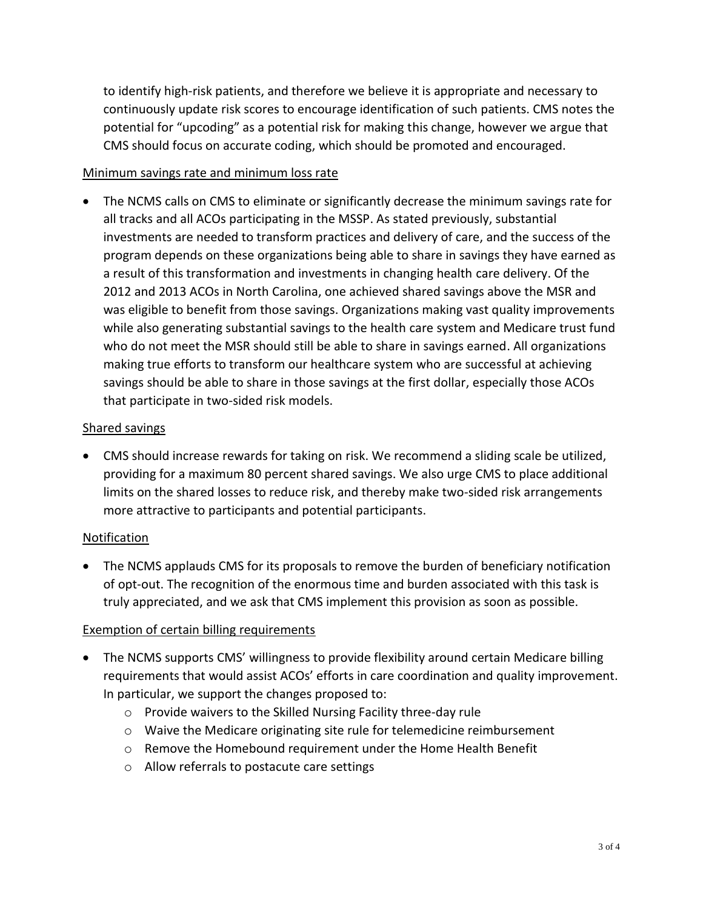to identify high-risk patients, and therefore we believe it is appropriate and necessary to continuously update risk scores to encourage identification of such patients. CMS notes the potential for "upcoding" as a potential risk for making this change, however we argue that CMS should focus on accurate coding, which should be promoted and encouraged.

## Minimum savings rate and minimum loss rate

 The NCMS calls on CMS to eliminate or significantly decrease the minimum savings rate for all tracks and all ACOs participating in the MSSP. As stated previously, substantial investments are needed to transform practices and delivery of care, and the success of the program depends on these organizations being able to share in savings they have earned as a result of this transformation and investments in changing health care delivery. Of the 2012 and 2013 ACOs in North Carolina, one achieved shared savings above the MSR and was eligible to benefit from those savings. Organizations making vast quality improvements while also generating substantial savings to the health care system and Medicare trust fund who do not meet the MSR should still be able to share in savings earned. All organizations making true efforts to transform our healthcare system who are successful at achieving savings should be able to share in those savings at the first dollar, especially those ACOs that participate in two-sided risk models.

### Shared savings

 CMS should increase rewards for taking on risk. We recommend a sliding scale be utilized, providing for a maximum 80 percent shared savings. We also urge CMS to place additional limits on the shared losses to reduce risk, and thereby make two-sided risk arrangements more attractive to participants and potential participants.

# Notification

 The NCMS applauds CMS for its proposals to remove the burden of beneficiary notification of opt-out. The recognition of the enormous time and burden associated with this task is truly appreciated, and we ask that CMS implement this provision as soon as possible.

# Exemption of certain billing requirements

- The NCMS supports CMS' willingness to provide flexibility around certain Medicare billing requirements that would assist ACOs' efforts in care coordination and quality improvement. In particular, we support the changes proposed to:
	- o Provide waivers to the Skilled Nursing Facility three-day rule
	- $\circ$  Waive the Medicare originating site rule for telemedicine reimbursement
	- o Remove the Homebound requirement under the Home Health Benefit
	- o Allow referrals to postacute care settings